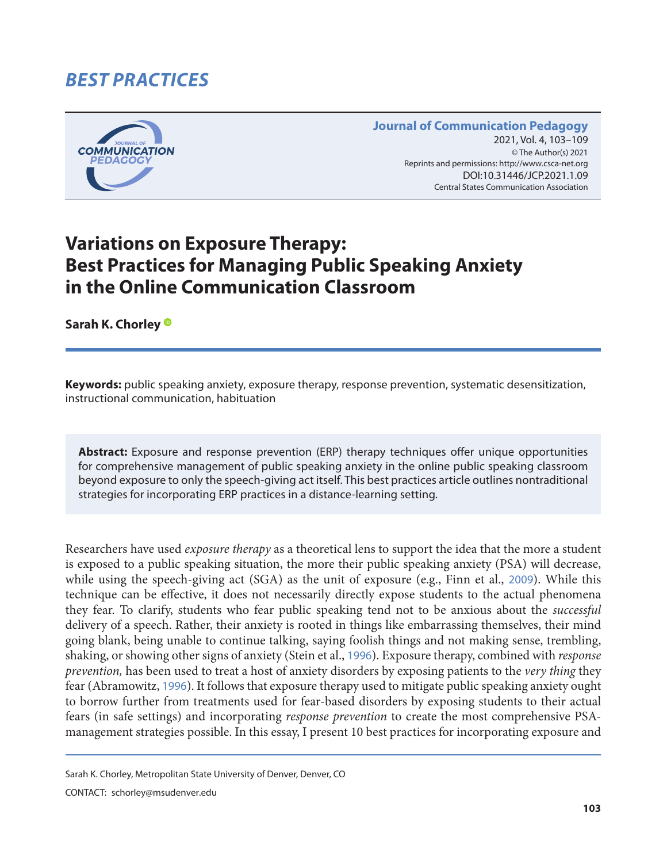# *BEST PRACTICES*



#### **Journal of Communication Pedagogy** 2021, Vol. 4, 103-109 © The Author(s) 2021 Reprints and permissions: <http://www.csca-net.org> 2021, Vol. 4, 103–1092021Reprints and permissions:<http://www.csca-net.org> DOI:10.31446/JCP.2021.1.09 Central States Communication Association Central States Communication Association

# **Variations on Exposure Therapy: Best Practices for Managing Public Speaking Anxiety in the Online Communication Classroom**

**Sarah K. Chorley**

**Keywords:** public speaking anxiety, exposure therapy, response prevention, systematic desensitization, instructional communication, habituation

**Abstract:** Exposure and response prevention (ERP) therapy techniques offer unique opportunities for comprehensive management of public speaking anxiety in the online public speaking classroom beyond exposure to only the speech-giving act itself. This best practices article outlines nontraditional strategies for incorporating ERP practices in a distance-learning setting.

Researchers have used *exposure therapy* as a theoretical lens to support the idea that the more a student is exposed to a public speaking situation, the more their public speaking anxiety (PSA) will decrease, while using the speech-giving act (SGA) as the unit of exposure (e.g., Finn et al., [2009](#page-5-0)). While this technique can be effective, it does not necessarily directly expose students to the actual phenomena they fear. To clarify, students who fear public speaking tend not to be anxious about the *successful* delivery of a speech. Rather, their anxiety is rooted in things like embarrassing themselves, their mind going blank, being unable to continue talking, saying foolish things and not making sense, trembling, shaking, or showing other signs of anxiety (Stein et al., [1996](#page-6-0)). Exposure therapy, combined with *response prevention,* has been used to treat a host of anxiety disorders by exposing patients to the *very thing* they fear (Abramowitz, [1996](#page-5-0)). It follows that exposure therapy used to mitigate public speaking anxiety ought to borrow further from treatments used for fear-based disorders by exposing students to their actual fears (in safe settings) and incorporating *response prevention* to create the most comprehensive PSAmanagement strategies possible. In this essay, I present 10 best practices for incorporating exposure and

CONTACT: schorley@msudenver.edu

Sarah K. Chorley, Metropolitan State University of Denver, Denver, CO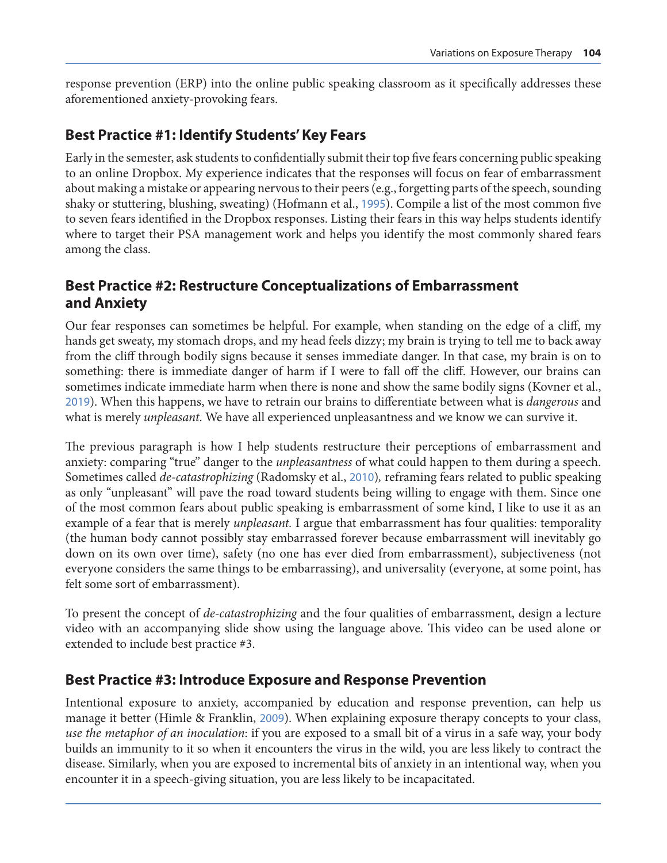response prevention (ERP) into the online public speaking classroom as it specifically addresses these aforementioned anxiety-provoking fears.

#### **Best Practice #1: Identify Students' Key Fears**

Early in the semester, ask students to confidentially submit their top five fears concerning public speaking to an online Dropbox. My experience indicates that the responses will focus on fear of embarrassment about making a mistake or appearing nervous to their peers (e.g., forgetting parts of the speech, sounding shaky or stuttering, blushing, sweating) (Hofmann et al., [1995](#page-5-0)). Compile a list of the most common five to seven fears identified in the Dropbox responses. Listing their fears in this way helps students identify where to target their PSA management work and helps you identify the most commonly shared fears among the class.

#### **Best Practice #2: Restructure Conceptualizations of Embarrassment and Anxiety**

Our fear responses can sometimes be helpful. For example, when standing on the edge of a cliff, my hands get sweaty, my stomach drops, and my head feels dizzy; my brain is trying to tell me to back away from the cliff through bodily signs because it senses immediate danger. In that case, my brain is on to something: there is immediate danger of harm if I were to fall off the cliff. However, our brains can sometimes indicate immediate harm when there is none and show the same bodily signs (Kovner et al., [2019](#page-6-0)). When this happens, we have to retrain our brains to differentiate between what is *dangerous* and what is merely *unpleasant*. We have all experienced unpleasantness and we know we can survive it.

The previous paragraph is how I help students restructure their perceptions of embarrassment and anxiety: comparing "true" danger to the *unpleasantness* of what could happen to them during a speech. Sometimes called *de-catastrophizing* (Radomsky et al., [2010](#page-6-0))*,* reframing fears related to public speaking as only "unpleasant" will pave the road toward students being willing to engage with them. Since one of the most common fears about public speaking is embarrassment of some kind, I like to use it as an example of a fear that is merely *unpleasant.* I argue that embarrassment has four qualities: temporality (the human body cannot possibly stay embarrassed forever because embarrassment will inevitably go down on its own over time), safety (no one has ever died from embarrassment), subjectiveness (not everyone considers the same things to be embarrassing), and universality (everyone, at some point, has felt some sort of embarrassment).

To present the concept of *de-catastrophizing* and the four qualities of embarrassment, design a lecture video with an accompanying slide show using the language above. This video can be used alone or extended to include best practice #3.

#### **Best Practice #3: Introduce Exposure and Response Prevention**

Intentional exposure to anxiety, accompanied by education and response prevention, can help us manage it better (Himle & Franklin, [2009](#page-5-0)). When explaining exposure therapy concepts to your class, *use the metaphor of an inoculation*: if you are exposed to a small bit of a virus in a safe way, your body builds an immunity to it so when it encounters the virus in the wild, you are less likely to contract the disease. Similarly, when you are exposed to incremental bits of anxiety in an intentional way, when you encounter it in a speech-giving situation, you are less likely to be incapacitated.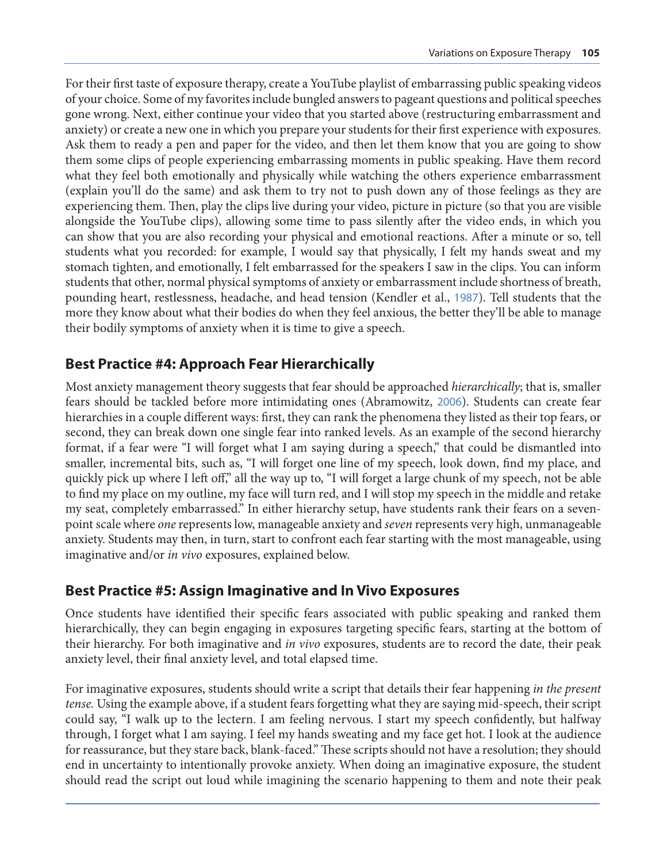For their first taste of exposure therapy, create a YouTube playlist of embarrassing public speaking videos of your choice. Some of my favorites include bungled answers to pageant questions and political speeches gone wrong. Next, either continue your video that you started above (restructuring embarrassment and anxiety) or create a new one in which you prepare your students for their first experience with exposures. Ask them to ready a pen and paper for the video, and then let them know that you are going to show them some clips of people experiencing embarrassing moments in public speaking. Have them record what they feel both emotionally and physically while watching the others experience embarrassment (explain you'll do the same) and ask them to try not to push down any of those feelings as they are experiencing them. Then, play the clips live during your video, picture in picture (so that you are visible alongside the YouTube clips), allowing some time to pass silently after the video ends, in which you can show that you are also recording your physical and emotional reactions. After a minute or so, tell students what you recorded: for example, I would say that physically, I felt my hands sweat and my stomach tighten, and emotionally, I felt embarrassed for the speakers I saw in the clips. You can inform students that other, normal physical symptoms of anxiety or embarrassment include shortness of breath, pounding heart, restlessness, headache, and head tension (Kendler et al., [1987](#page-6-0)). Tell students that the more they know about what their bodies do when they feel anxious, the better they'll be able to manage their bodily symptoms of anxiety when it is time to give a speech.

#### **Best Practice #4: Approach Fear Hierarchically**

Most anxiety management theory suggests that fear should be approached *hierarchically*; that is, smaller fears should be tackled before more intimidating ones (Abramowitz, [2006](#page-5-0)). Students can create fear hierarchies in a couple different ways: first, they can rank the phenomena they listed as their top fears, or second, they can break down one single fear into ranked levels. As an example of the second hierarchy format, if a fear were "I will forget what I am saying during a speech," that could be dismantled into smaller, incremental bits, such as, "I will forget one line of my speech, look down, find my place, and quickly pick up where I left off," all the way up to, "I will forget a large chunk of my speech, not be able to find my place on my outline, my face will turn red, and I will stop my speech in the middle and retake my seat, completely embarrassed." In either hierarchy setup, have students rank their fears on a sevenpoint scale where *one* represents low, manageable anxiety and *seven* represents very high, unmanageable anxiety. Students may then, in turn, start to confront each fear starting with the most manageable, using imaginative and/or *in vivo* exposures, explained below.

#### **Best Practice #5: Assign Imaginative and In Vivo Exposures**

Once students have identified their specific fears associated with public speaking and ranked them hierarchically, they can begin engaging in exposures targeting specific fears, starting at the bottom of their hierarchy. For both imaginative and *in vivo* exposures, students are to record the date, their peak anxiety level, their final anxiety level, and total elapsed time.

For imaginative exposures, students should write a script that details their fear happening *in the present tense.* Using the example above, if a student fears forgetting what they are saying mid-speech, their script could say, "I walk up to the lectern. I am feeling nervous. I start my speech confidently, but halfway through, I forget what I am saying. I feel my hands sweating and my face get hot. I look at the audience for reassurance, but they stare back, blank-faced." These scripts should not have a resolution; they should end in uncertainty to intentionally provoke anxiety. When doing an imaginative exposure, the student should read the script out loud while imagining the scenario happening to them and note their peak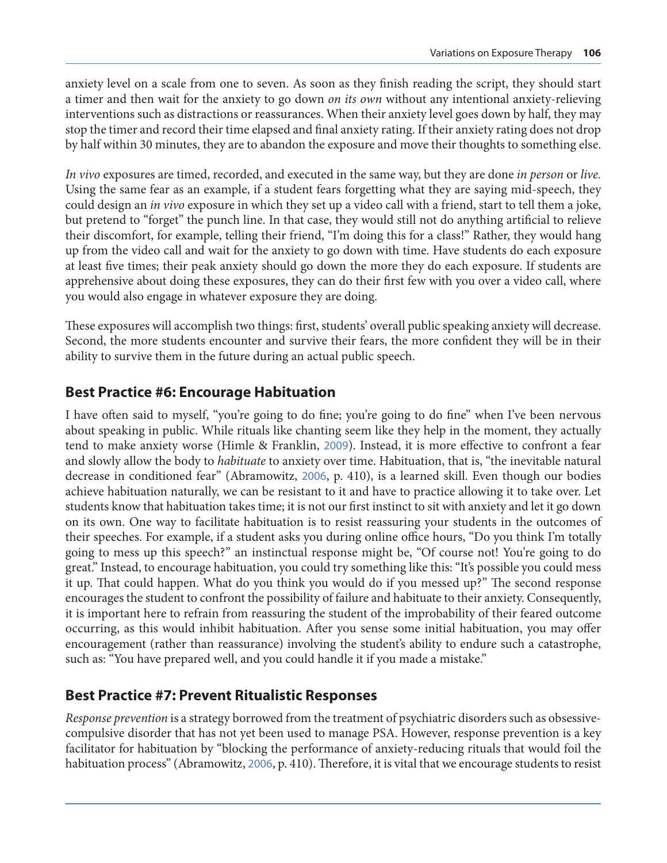anxiety level on a scale from one to seven. As soon as they finish reading the script, they should start a timer and then wait for the anxiety to go down *on its own* without any intentional anxiety-relieving interventions such as distractions or reassurances. When their anxiety level goes down by half, they may stop the timer and record their time elapsed and final anxiety rating. If their anxiety rating does not drop by half within 30 minutes, they are to abandon the exposure and move their thoughts to something else.

*In vivo* exposures are timed, recorded, and executed in the same way, but they are done *in person* or *live.*  Using the same fear as an example, if a student fears forgetting what they are saying mid-speech, they could design an *in vivo* exposure in which they set up a video call with a friend, start to tell them a joke, but pretend to "forget" the punch line. In that case, they would still not do anything artificial to relieve their discomfort, for example, telling their friend, "I'm doing this for a class!" Rather, they would hang up from the video call and wait for the anxiety to go down with time. Have students do each exposure at least five times; their peak anxiety should go down the more they do each exposure. If students are apprehensive about doing these exposures, they can do their first few with you over a video call, where you would also engage in whatever exposure they are doing.

These exposures will accomplish two things: first, students' overall public speaking anxiety will decrease. Second, the more students encounter and survive their fears, the more confident they will be in their ability to survive them in the future during an actual public speech.

#### **Best Practice #6: Encourage Habituation**

I have often said to myself, "you're going to do fine; you're going to do fine" when I've been nervous about speaking in public. While rituals like chanting seem like they help in the moment, they actually tend to make anxiety worse (Himle & Franklin, [2009](#page-5-0)). Instead, it is more effective to confront a fear and slowly allow the body to *habituate* to anxiety over time. Habituation, that is, "the inevitable natural decrease in conditioned fear" (Abramowitz, [2006](#page-5-0), p. 410), is a learned skill. Even though our bodies achieve habituation naturally, we can be resistant to it and have to practice allowing it to take over. Let students know that habituation takes time; it is not our first instinct to sit with anxiety and let it go down on its own. One way to facilitate habituation is to resist reassuring your students in the outcomes of their speeches. For example, if a student asks you during online office hours, "Do you think I'm totally going to mess up this speech?" an instinctual response might be, "Of course not! You're going to do great." Instead, to encourage habituation, you could try something like this: "It's possible you could mess it up. That could happen. What do you think you would do if you messed up?" The second response encourages the student to confront the possibility of failure and habituate to their anxiety. Consequently, it is important here to refrain from reassuring the student of the improbability of their feared outcome occurring, as this would inhibit habituation. After you sense some initial habituation, you may offer encouragement (rather than reassurance) involving the student's ability to endure such a catastrophe, such as: "You have prepared well, and you could handle it if you made a mistake."

#### **Best Practice #7: Prevent Ritualistic Responses**

*Response prevention* is a strategy borrowed from the treatment of psychiatric disorders such as obsessivecompulsive disorder that has not yet been used to manage PSA. However, response prevention is a key facilitator for habituation by "blocking the performance of anxiety-reducing rituals that would foil the habituation process" (Abramowitz, [2006](#page-5-0), p. 410). Therefore, it is vital that we encourage students to resist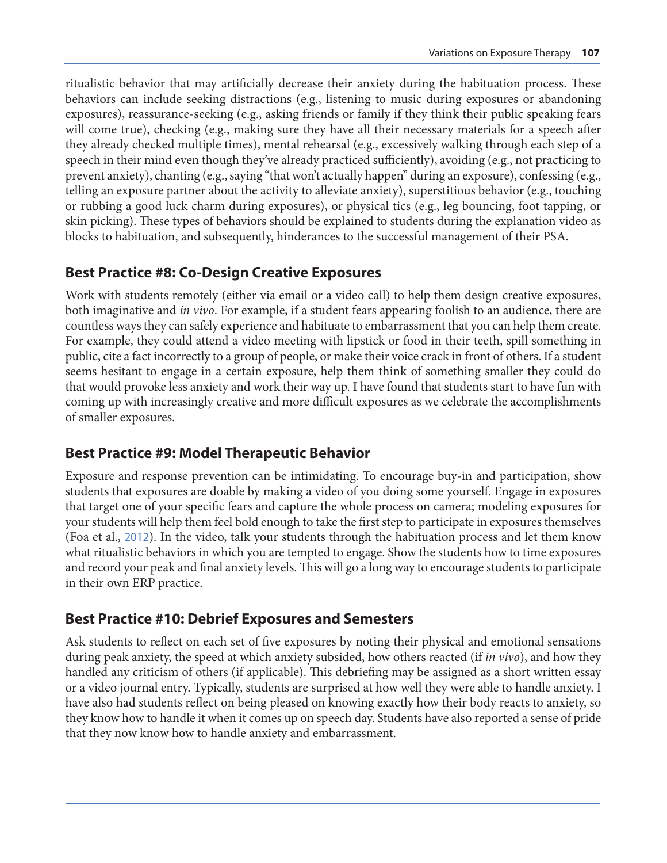ritualistic behavior that may artificially decrease their anxiety during the habituation process. These behaviors can include seeking distractions (e.g., listening to music during exposures or abandoning exposures), reassurance-seeking (e.g., asking friends or family if they think their public speaking fears will come true), checking (e.g., making sure they have all their necessary materials for a speech after they already checked multiple times), mental rehearsal (e.g., excessively walking through each step of a speech in their mind even though they've already practiced sufficiently), avoiding (e.g., not practicing to prevent anxiety), chanting (e.g., saying "that won't actually happen" during an exposure), confessing (e.g., telling an exposure partner about the activity to alleviate anxiety), superstitious behavior (e.g., touching or rubbing a good luck charm during exposures), or physical tics (e.g., leg bouncing, foot tapping, or skin picking). These types of behaviors should be explained to students during the explanation video as blocks to habituation, and subsequently, hinderances to the successful management of their PSA.

#### **Best Practice #8: Co-Design Creative Exposures**

Work with students remotely (either via email or a video call) to help them design creative exposures, both imaginative and *in vivo*. For example, if a student fears appearing foolish to an audience, there are countless ways they can safely experience and habituate to embarrassment that you can help them create. For example, they could attend a video meeting with lipstick or food in their teeth, spill something in public, cite a fact incorrectly to a group of people, or make their voice crack in front of others. If a student seems hesitant to engage in a certain exposure, help them think of something smaller they could do that would provoke less anxiety and work their way up. I have found that students start to have fun with coming up with increasingly creative and more difficult exposures as we celebrate the accomplishments of smaller exposures.

### **Best Practice #9: Model Therapeutic Behavior**

Exposure and response prevention can be intimidating. To encourage buy-in and participation, show students that exposures are doable by making a video of you doing some yourself. Engage in exposures that target one of your specific fears and capture the whole process on camera; modeling exposures for your students will help them feel bold enough to take the first step to participate in exposures themselves (Foa et al., [2012](#page-5-0)). In the video, talk your students through the habituation process and let them know what ritualistic behaviors in which you are tempted to engage. Show the students how to time exposures and record your peak and final anxiety levels. This will go a long way to encourage students to participate in their own ERP practice.

#### **Best Practice #10: Debrief Exposures and Semesters**

Ask students to reflect on each set of five exposures by noting their physical and emotional sensations during peak anxiety, the speed at which anxiety subsided, how others reacted (if *in vivo*), and how they handled any criticism of others (if applicable). This debriefing may be assigned as a short written essay or a video journal entry. Typically, students are surprised at how well they were able to handle anxiety. I have also had students reflect on being pleased on knowing exactly how their body reacts to anxiety, so they know how to handle it when it comes up on speech day. Students have also reported a sense of pride that they now know how to handle anxiety and embarrassment.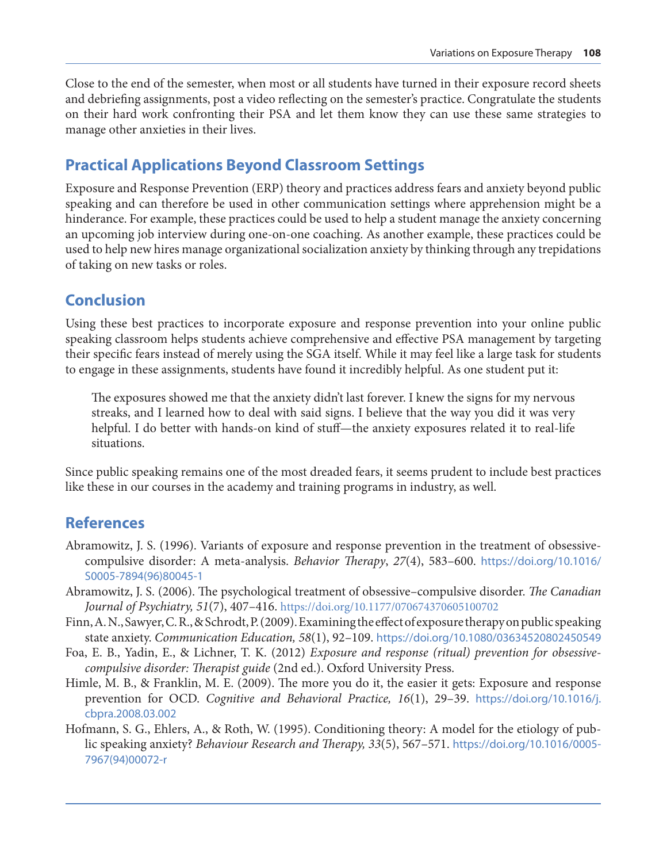<span id="page-5-0"></span>Close to the end of the semester, when most or all students have turned in their exposure record sheets and debriefing assignments, post a video reflecting on the semester's practice. Congratulate the students on their hard work confronting their PSA and let them know they can use these same strategies to manage other anxieties in their lives.

# **Practical Applications Beyond Classroom Settings**

Exposure and Response Prevention (ERP) theory and practices address fears and anxiety beyond public speaking and can therefore be used in other communication settings where apprehension might be a hinderance. For example, these practices could be used to help a student manage the anxiety concerning an upcoming job interview during one-on-one coaching. As another example, these practices could be used to help new hires manage organizational socialization anxiety by thinking through any trepidations of taking on new tasks or roles.

### **Conclusion**

Using these best practices to incorporate exposure and response prevention into your online public speaking classroom helps students achieve comprehensive and effective PSA management by targeting their specific fears instead of merely using the SGA itself. While it may feel like a large task for students to engage in these assignments, students have found it incredibly helpful. As one student put it:

The exposures showed me that the anxiety didn't last forever. I knew the signs for my nervous streaks, and I learned how to deal with said signs. I believe that the way you did it was very helpful. I do better with hands-on kind of stuff—the anxiety exposures related it to real-life situations.

Since public speaking remains one of the most dreaded fears, it seems prudent to include best practices like these in our courses in the academy and training programs in industry, as well.

# **References**

- Abramowitz, J. S. (1996). Variants of exposure and response prevention in the treatment of obsessivecompulsive disorder: A meta-analysis. *Behavior Therapy*, *27*(4), 583–600. [https://doi.org/10.1016/](https://doi.org/10.1016/S0005-7894(96)80045-1) [S0005-7894\(96\)80045-1](https://doi.org/10.1016/S0005-7894(96)80045-1)
- Abramowitz, J. S. (2006). The psychological treatment of obsessive–compulsive disorder. *The Canadian Journal of Psychiatry, 51*(7), 407–416.<https://doi.org/10.1177/070674370605100702>
- Finn, A. N., Sawyer, C. R., & Schrodt, P. (2009). Examining the effect of exposure therapy on public speaking state anxiety. *Communication Education, 58*(1), 92–109. <https://doi.org/10.1080/03634520802450549>
- Foa, E. B., Yadin, E., & Lichner, T. K. (2012) *Exposure and response (ritual) prevention for obsessivecompulsive disorder: Therapist guide* (2nd ed.). Oxford University Press.
- Himle, M. B., & Franklin, M. E. (2009). The more you do it, the easier it gets: Exposure and response prevention for OCD. *Cognitive and Behavioral Practice, 16*(1), 29–39. [https://doi.org/10.1016/j.](https://doi.org/10.1016/j.cbpra.2008.03.002) [cbpra.2008.03.002](https://doi.org/10.1016/j.cbpra.2008.03.002)
- Hofmann, S. G., Ehlers, A., & Roth, W. (1995). Conditioning theory: A model for the etiology of public speaking anxiety? *Behaviour Research and Therapy, 33*(5), 567–571. [https://doi.org/10.1016/0005-](https://doi.org/10.1016/0005-7967(94)00072-r) [7967\(94\)00072-r](https://doi.org/10.1016/0005-7967(94)00072-r)